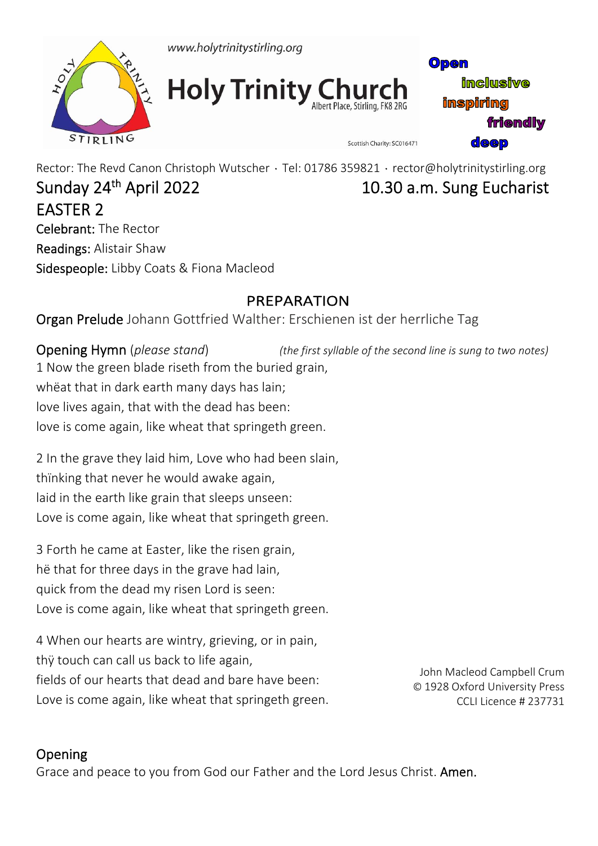



# **Holy Trinity Church**

Open **imclusive inspiring friendly** deep

Rector: The Revd Canon Christoph Wutscher · Tel: 01786 359821 · rector@holytrinitystirling.org Sunday 24th April 2022 10.30 a.m. Sung Eucharist EASTER 2 Celebrant: The Rector Readings: Alistair Shaw Sidespeople: Libby Coats & Fiona Macleod

Scottish Charity: SC016471

# PREPARATION

Organ Prelude Johann Gottfried Walther: Erschienen ist der herrliche Tag

Opening Hymn (*please stand*) *(the first syllable of the second line is sung to two notes)* 1 Now the green blade riseth from the buried grain, whëat that in dark earth many days has lain; love lives again, that with the dead has been: love is come again, like wheat that springeth green.

2 In the grave they laid him, Love who had been slain, thïnking that never he would awake again, laid in the earth like grain that sleeps unseen: Love is come again, like wheat that springeth green.

3 Forth he came at Easter, like the risen grain, hë that for three days in the grave had lain, quick from the dead my risen Lord is seen: Love is come again, like wheat that springeth green.

4 When our hearts are wintry, grieving, or in pain, thÿ touch can call us back to life again, fields of our hearts that dead and bare have been: Love is come again, like wheat that springeth green.

John Macleod Campbell Crum © 1928 Oxford University Press CCLI Licence # 237731

#### Opening

Grace and peace to you from God our Father and the Lord Jesus Christ. Amen.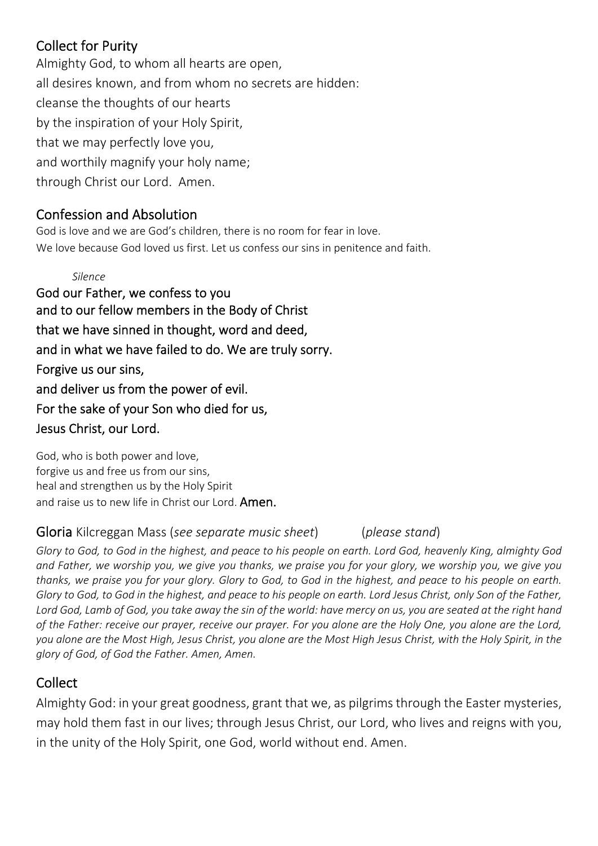#### Collect for Purity

Almighty God, to whom all hearts are open, all desires known, and from whom no secrets are hidden: cleanse the thoughts of our hearts by the inspiration of your Holy Spirit, that we may perfectly love you, and worthily magnify your holy name; through Christ our Lord. Amen.

#### Confession and Absolution

God is love and we are God's children, there is no room for fear in love. We love because God loved us first. Let us confess our sins in penitence and faith.

*Silence*

God our Father, we confess to you and to our fellow members in the Body of Christ that we have sinned in thought, word and deed, and in what we have failed to do. We are truly sorry. Forgive us our sins, and deliver us from the power of evil. For the sake of your Son who died for us, Jesus Christ, our Lord.

God, who is both power and love, forgive us and free us from our sins, heal and strengthen us by the Holy Spirit and raise us to new life in Christ our Lord. Amen.

#### Gloria Kilcreggan Mass (*see separate music sheet*) (*please stand*)

*Glory to God, to God in the highest, and peace to his people on earth. Lord God, heavenly King, almighty God and Father, we worship you, we give you thanks, we praise you for your glory, we worship you, we give you thanks, we praise you for your glory. Glory to God, to God in the highest, and peace to his people on earth. Glory to God, to God in the highest, and peace to his people on earth. Lord Jesus Christ, only Son of the Father, Lord God, Lamb of God, you take away the sin of the world: have mercy on us, you are seated at the right hand of the Father: receive our prayer, receive our prayer. For you alone are the Holy One, you alone are the Lord, you alone are the Most High, Jesus Christ, you alone are the Most High Jesus Christ, with the Holy Spirit, in the glory of God, of God the Father. Amen, Amen.*

# **Collect**

Almighty God: in your great goodness, grant that we, as pilgrims through the Easter mysteries, may hold them fast in our lives; through Jesus Christ, our Lord, who lives and reigns with you, in the unity of the Holy Spirit, one God, world without end. Amen.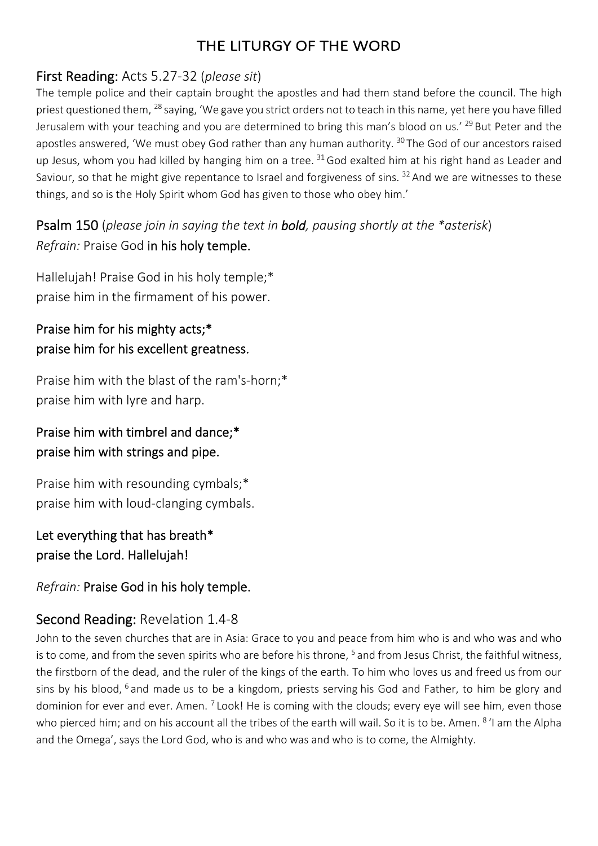# THE LITURGY OF THE WORD

#### First Reading: Acts 5.27‐32 (*please sit*)

The temple police and their captain brought the apostles and had them stand before the council. The high priest questioned them, 28 saying, 'We gave you strict orders not to teach in this name, yet here you have filled Jerusalem with your teaching and you are determined to bring this man's blood on us.' <sup>29</sup> But Peter and the apostles answered, 'We must obey God rather than any human authority. <sup>30</sup> The God of our ancestors raised up Jesus, whom you had killed by hanging him on a tree. 31 God exalted him at his right hand as Leader and Saviour, so that he might give repentance to Israel and forgiveness of sins. 32 And we are witnesses to these things, and so is the Holy Spirit whom God has given to those who obey him.'

# Psalm 150 (*please join in saying the text in bold, pausing shortly at the \*asterisk*) *Refrain:* Praise God in his holy temple.

Hallelujah! Praise God in his holy temple;\* praise him in the firmament of his power.

## Praise him for his mighty acts;\* praise him for his excellent greatness.

Praise him with the blast of the ram's‐horn;\* praise him with lyre and harp.

# Praise him with timbrel and dance;\* praise him with strings and pipe.

Praise him with resounding cymbals;\* praise him with loud‐clanging cymbals.

#### Let everything that has breath\* praise the Lord. Hallelujah!

#### *Refrain:* Praise God in his holy temple.

#### Second Reading: Revelation 1.4‐8

John to the seven churches that are in Asia: Grace to you and peace from him who is and who was and who is to come, and from the seven spirits who are before his throne, <sup>5</sup> and from Jesus Christ, the faithful witness, the firstborn of the dead, and the ruler of the kings of the earth. To him who loves us and freed us from our sins by his blood, <sup>6</sup> and made us to be a kingdom, priests serving his God and Father, to him be glory and dominion for ever and ever. Amen. <sup>7</sup> Look! He is coming with the clouds; every eye will see him, even those who pierced him; and on his account all the tribes of the earth will wail. So it is to be. Amen. <sup>8</sup> 'I am the Alpha and the Omega', says the Lord God, who is and who was and who is to come, the Almighty.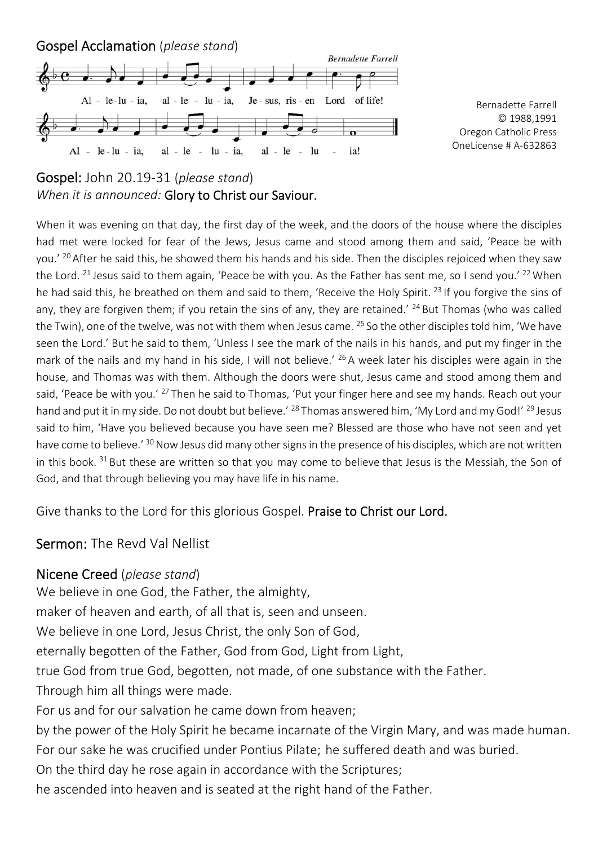

Bernadette Farrell © 1988,1991 Oregon Catholic Press OneLicense # A‐632863

#### Gospel: John 20.19‐31 (*please stand*) *When it is announced:* Glory to Christ our Saviour.

When it was evening on that day, the first day of the week, and the doors of the house where the disciples had met were locked for fear of the Jews, Jesus came and stood among them and said, 'Peace be with you.' 20 After he said this, he showed them his hands and his side. Then the disciples rejoiced when they saw the Lord. <sup>21</sup> Jesus said to them again, 'Peace be with you. As the Father has sent me, so I send you.' <sup>22</sup> When he had said this, he breathed on them and said to them, 'Receive the Holy Spirit. 23 If you forgive the sins of any, they are forgiven them; if you retain the sins of any, they are retained.<sup>' 24</sup> But Thomas (who was called the Twin), one of the twelve, was not with them when Jesus came. <sup>25</sup> So the other disciples told him, 'We have seen the Lord.' But he said to them, 'Unless I see the mark of the nails in his hands, and put my finger in the mark of the nails and my hand in his side, I will not believe.<sup>' 26</sup> A week later his disciples were again in the house, and Thomas was with them. Although the doors were shut, Jesus came and stood among them and said, 'Peace be with you.' <sup>27</sup> Then he said to Thomas, 'Put your finger here and see my hands. Reach out your hand and put it in my side. Do not doubt but believe.' <sup>28</sup> Thomas answered him, 'My Lord and my God!' <sup>29</sup> Jesus said to him, 'Have you believed because you have seen me? Blessed are those who have not seen and yet have come to believe.<sup>' 30</sup> Now Jesus did many other signs in the presence of his disciples, which are not written in this book. <sup>31</sup> But these are written so that you may come to believe that Jesus is the Messiah, the Son of God, and that through believing you may have life in his name.

Give thanks to the Lord for this glorious Gospel. Praise to Christ our Lord.

#### Sermon: The Revd Val Nellist

#### Nicene Creed (*please stand*)

We believe in one God, the Father, the almighty, maker of heaven and earth, of all that is, seen and unseen. We believe in one Lord, Jesus Christ, the only Son of God, eternally begotten of the Father, God from God, Light from Light, true God from true God, begotten, not made, of one substance with the Father. Through him all things were made. For us and for our salvation he came down from heaven; by the power of the Holy Spirit he became incarnate of the Virgin Mary, and was made human.

For our sake he was crucified under Pontius Pilate; he suffered death and was buried.

On the third day he rose again in accordance with the Scriptures;

he ascended into heaven and is seated at the right hand of the Father.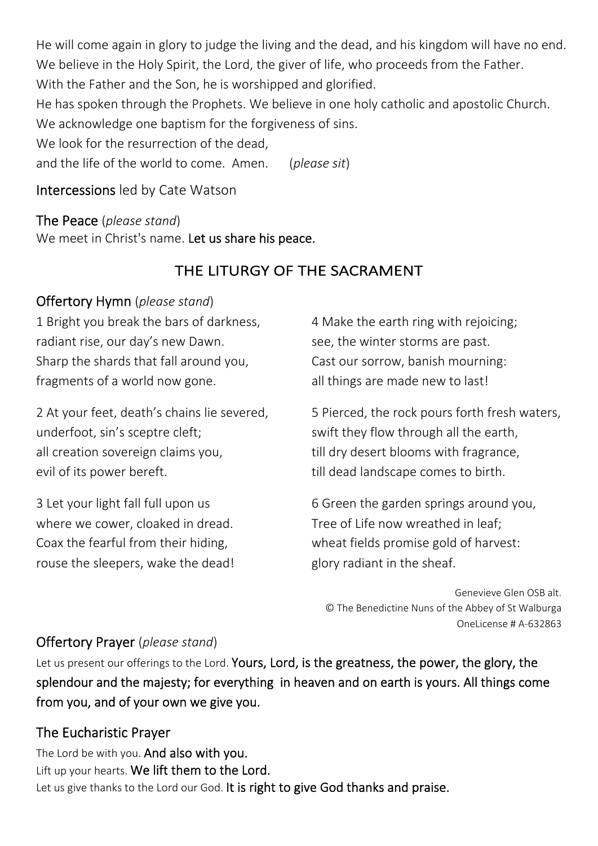He will come again in glory to judge the living and the dead, and his kingdom will have no end. We believe in the Holy Spirit, the Lord, the giver of life, who proceeds from the Father. With the Father and the Son, he is worshipped and glorified.

He has spoken through the Prophets. We believe in one holy catholic and apostolic Church. We acknowledge one baptism for the forgiveness of sins. We look for the resurrection of the dead.

and the life of the world to come. Amen. (*please sit*)

#### Intercessions led by Cate Watson

The Peace (*please stand*) We meet in Christ's name. Let us share his peace.

#### THE LITURGY OF THE SACRAMENT

#### Offertory Hymn (*please stand*)

1 Bright you break the bars of darkness, radiant rise, our day's new Dawn. Sharp the shards that fall around you, fragments of a world now gone.

2 At your feet, death's chains lie severed, underfoot, sin's sceptre cleft; all creation sovereign claims you, evil of its power bereft.

3 Let your light fall full upon us where we cower, cloaked in dread. Coax the fearful from their hiding, rouse the sleepers, wake the dead! 4 Make the earth ring with rejoicing; see, the winter storms are past. Cast our sorrow, banish mourning: all things are made new to last!

5 Pierced, the rock pours forth fresh waters, swift they flow through all the earth, till dry desert blooms with fragrance, till dead landscape comes to birth.

6 Green the garden springs around you, Tree of Life now wreathed in leaf; wheat fields promise gold of harvest: glory radiant in the sheaf.

Genevieve Glen OSB alt. © The Benedictine Nuns of the Abbey of St Walburga OneLicense # A-632863

## Offertory Prayer (*please stand*)

Let us present our offerings to the Lord. Yours, Lord, is the greatness, the power, the glory, the splendour and the majesty; for everything in heaven and on earth is yours. All things come from you, and of your own we give you.

# The Eucharistic Prayer

The Lord be with you. And also with you. Lift up your hearts. We lift them to the Lord. Let us give thanks to the Lord our God. It is right to give God thanks and praise.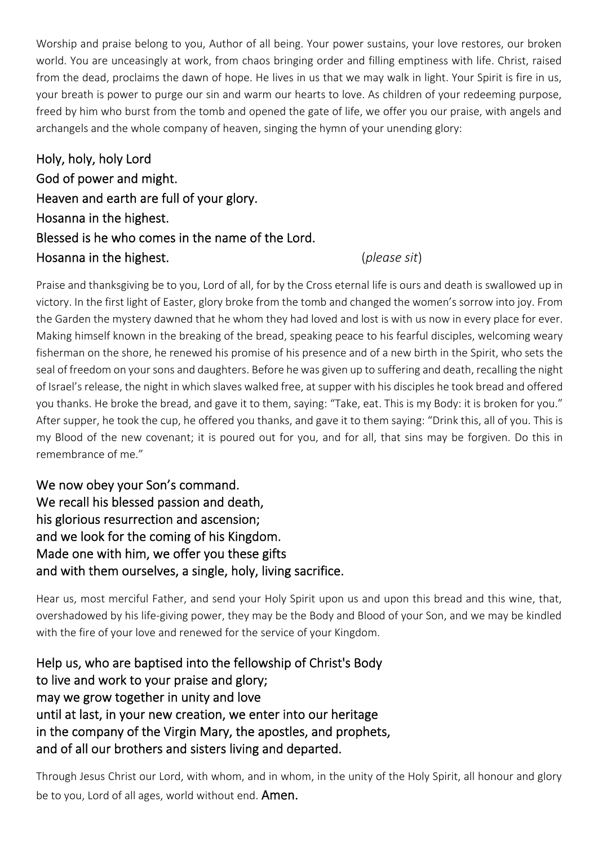Worship and praise belong to you, Author of all being. Your power sustains, your love restores, our broken world. You are unceasingly at work, from chaos bringing order and filling emptiness with life. Christ, raised from the dead, proclaims the dawn of hope. He lives in us that we may walk in light. Your Spirit is fire in us, your breath is power to purge our sin and warm our hearts to love. As children of your redeeming purpose, freed by him who burst from the tomb and opened the gate of life, we offer you our praise, with angels and archangels and the whole company of heaven, singing the hymn of your unending glory:

Holy, holy, holy Lord God of power and might. Heaven and earth are full of your glory. Hosanna in the highest. Blessed is he who comes in the name of the Lord. Hosanna in the highest. (*please sit*)

Praise and thanksgiving be to you, Lord of all, for by the Cross eternal life is ours and death is swallowed up in victory. In the first light of Easter, glory broke from the tomb and changed the women's sorrow into joy. From the Garden the mystery dawned that he whom they had loved and lost is with us now in every place for ever. Making himself known in the breaking of the bread, speaking peace to his fearful disciples, welcoming weary fisherman on the shore, he renewed his promise of his presence and of a new birth in the Spirit, who sets the seal of freedom on your sons and daughters. Before he was given up to suffering and death, recalling the night of Israel's release, the night in which slaves walked free, at supper with his disciples he took bread and offered you thanks. He broke the bread, and gave it to them, saying: "Take, eat. This is my Body: it is broken for you." After supper, he took the cup, he offered you thanks, and gave it to them saying: "Drink this, all of you. This is my Blood of the new covenant; it is poured out for you, and for all, that sins may be forgiven. Do this in remembrance of me."

We now obey your Son's command. We recall his blessed passion and death, his glorious resurrection and ascension; and we look for the coming of his Kingdom. Made one with him, we offer you these gifts and with them ourselves, a single, holy, living sacrifice.

Hear us, most merciful Father, and send your Holy Spirit upon us and upon this bread and this wine, that, overshadowed by his life‐giving power, they may be the Body and Blood of your Son, and we may be kindled with the fire of your love and renewed for the service of your Kingdom.

Help us, who are baptised into the fellowship of Christ's Body to live and work to your praise and glory; may we grow together in unity and love until at last, in your new creation, we enter into our heritage in the company of the Virgin Mary, the apostles, and prophets, and of all our brothers and sisters living and departed.

Through Jesus Christ our Lord, with whom, and in whom, in the unity of the Holy Spirit, all honour and glory be to you, Lord of all ages, world without end. **Amen.**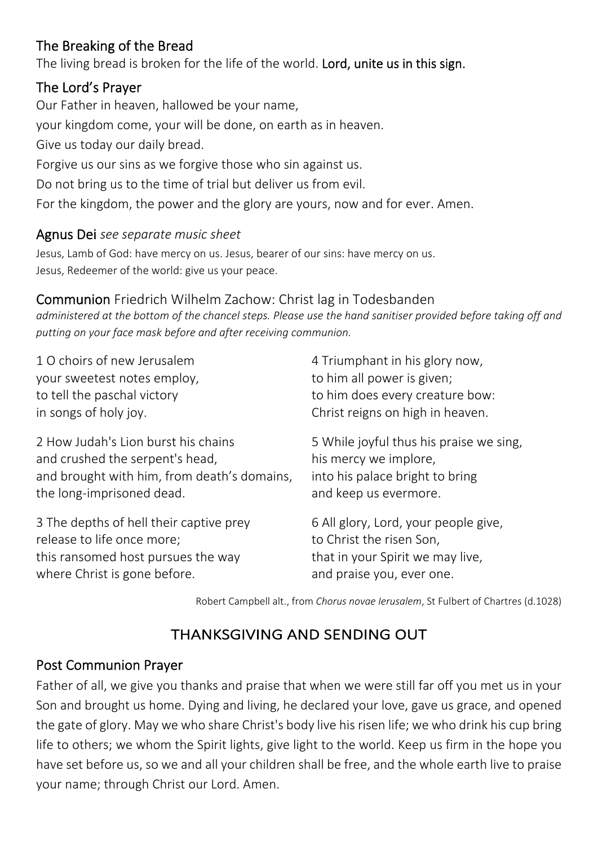## The Breaking of the Bread

The living bread is broken for the life of the world. Lord, unite us in this sign.

#### The Lord's Prayer

Our Father in heaven, hallowed be your name,

your kingdom come, your will be done, on earth as in heaven.

Give us today our daily bread.

Forgive us our sins as we forgive those who sin against us.

Do not bring us to the time of trial but deliver us from evil.

For the kingdom, the power and the glory are yours, now and for ever. Amen.

#### Agnus Dei *see separate music sheet*

Jesus, Lamb of God: have mercy on us. Jesus, bearer of our sins: have mercy on us. Jesus, Redeemer of the world: give us your peace.

Communion Friedrich Wilhelm Zachow: Christ lag in Todesbanden *administered at the bottom of the chancel steps. Please use the hand sanitiser provided before taking off and putting on your face mask before and after receiving communion.*

| 1 O choirs of new Jerusalem                 | 4 Triumphant in his glory now,          |
|---------------------------------------------|-----------------------------------------|
| your sweetest notes employ,                 | to him all power is given;              |
| to tell the paschal victory                 | to him does every creature bow:         |
| in songs of holy joy.                       | Christ reigns on high in heaven.        |
| 2 How Judah's Lion burst his chains         | 5 While joyful thus his praise we sing, |
| and crushed the serpent's head,             | his mercy we implore,                   |
| and brought with him, from death's domains, | into his palace bright to bring         |
| the long-imprisoned dead.                   | and keep us evermore.                   |
| 3 The depths of hell their captive prey     | 6 All glory, Lord, your people give,    |
| release to life once more;                  | to Christ the risen Son,                |
| this ransomed host pursues the way          | that in your Spirit we may live,        |
| where Christ is gone before.                | and praise you, ever one.               |

Robert Campbell alt., from *Chorus novae Ierusalem*, St Fulbert of Chartres (d.1028)

# THANKSGIVING AND SENDING OUT

## Post Communion Prayer

Father of all, we give you thanks and praise that when we were still far off you met us in your Son and brought us home. Dying and living, he declared your love, gave us grace, and opened the gate of glory. May we who share Christ's body live his risen life; we who drink his cup bring life to others; we whom the Spirit lights, give light to the world. Keep us firm in the hope you have set before us, so we and all your children shall be free, and the whole earth live to praise your name; through Christ our Lord. Amen.